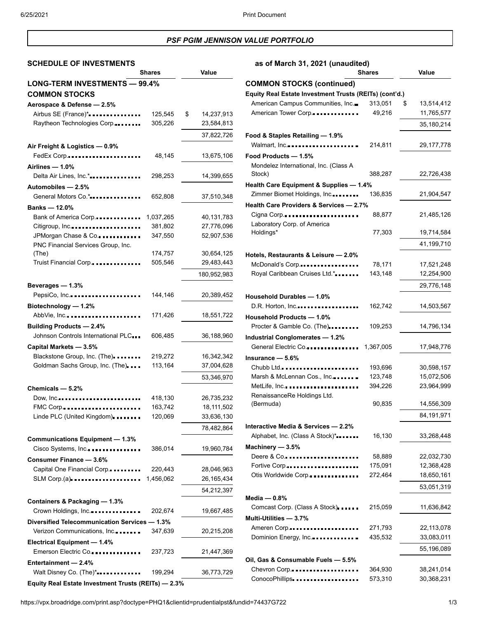# *PSF PGIM JENNISON VALUE PORTFOLIO*

## **SCHEDULE OF INVESTMENTS as of March 31, 2021 (unaudited)**

|                                                     | <b>Shares</b> | Value            |
|-----------------------------------------------------|---------------|------------------|
| LONG-TERM INVESTMENTS - 99.4%                       |               |                  |
| <b>COMMON STOCKS</b>                                |               |                  |
| Aerospace & Defense - 2.5%                          |               |                  |
| Airbus SE (France)*                                 | 125,545       | \$<br>14,237,913 |
| Raytheon Technologies Corp.                         | 305,226       | 23,584,813       |
|                                                     |               |                  |
|                                                     |               | 37,822,726       |
| Air Freight & Logistics - 0.9%                      |               |                  |
| FedEx Corp                                          | 48,145        | 13,675,106       |
| Airlines - 1.0%                                     |               |                  |
| Delta Air Lines, Inc.*                              | 298,253       | 14,399,655       |
| Automobiles - 2.5%                                  |               |                  |
| General Motors Co.*                                 | 652,808       | 37,510,348       |
| Banks - 12.0%                                       |               |                  |
| Bank of America Corp                                | 1,037,265     | 40,131,783       |
| Citigroup, Inc                                      | 381,802       | 27,776,096       |
| JPMorgan Chase & Co.                                | 347,550       | 52,907,536       |
| PNC Financial Services Group, Inc.                  |               |                  |
| (The)                                               | 174,757       | 30,654,125       |
| Truist Financial Corp.                              | 505,546       | 29,483,443       |
|                                                     |               | 180,952,983      |
|                                                     |               |                  |
| Beverages - 1.3%                                    |               |                  |
| PepsiCo, Inc                                        | 144,146       | 20,389,452       |
| Biotechnology - 1.2%                                |               |                  |
| AbbVie, Inc                                         | 171,426       | 18,551,722       |
| <b>Building Products - 2.4%</b>                     |               |                  |
| Johnson Controls International PLC                  | 606,485       | 36,188,960       |
| Capital Markets - 3.5%                              |               |                  |
| Blackstone Group, Inc. (The).                       | 219,272       | 16,342,342       |
| Goldman Sachs Group, Inc. (The)                     | 113,164       | 37,004,628       |
|                                                     |               | 53,346,970       |
| Chemicals - 5.2%                                    |               |                  |
| Dow, Inc                                            | 418,130       | 26,735,232       |
| FMC Corp                                            | 163,742       | 18,111,502       |
| Linde PLC (United Kingdom).                         | 120,069       | 33,636,130       |
|                                                     |               |                  |
|                                                     |               | 78,482,864       |
| <b>Communications Equipment - 1.3%</b>              |               |                  |
| Cisco Systems, Inc.                                 | 386,014       | 19,960,784       |
| Consumer Finance - 3.6%                             |               |                  |
| Capital One Financial Corp.                         | 220,443       | 28,046,963       |
| $SLM$ Corp.(a)                                      | 1,456,062     | 26,165,434       |
|                                                     |               | 54,212,397       |
| Containers & Packaging - 1.3%                       |               |                  |
| Crown Holdings, Inc                                 | 202,674       | 19,667,485       |
| Diversified Telecommunication Services - 1.3%       |               |                  |
|                                                     |               |                  |
| Verizon Communications, Inc                         | 347,639       | 20,215,208       |
| <b>Electrical Equipment - 1.4%</b>                  |               |                  |
| Emerson Electric Co.                                | 237,723       | 21,447,369       |
| Entertainment - 2.4%                                |               |                  |
| Walt Disney Co. (The)*                              | 199,294       | 36,773,729       |
| Equity Real Estate Investment Trusts (REITs) - 2.3% |               |                  |

|                                                        | <b>Shares</b> | Value            |
|--------------------------------------------------------|---------------|------------------|
| <b>COMMON STOCKS (continued)</b>                       |               |                  |
| Equity Real Estate Investment Trusts (REITs) (cont'd.) |               |                  |
| American Campus Communities, Inc.                      | 313,051       | \$<br>13,514,412 |
| American Tower Corp                                    | 49,216        | 11,765,577       |
|                                                        |               | 35,180,214       |
| Food & Staples Retailing - 1.9%                        |               |                  |
| Walmart, Inc                                           | 214,811       | 29,177,778       |
| Food Products - 1.5%                                   |               |                  |
| Mondelez International, Inc. (Class A                  |               |                  |
| Stock)                                                 | 388,287       | 22,726,438       |
| Health Care Equipment & Supplies - 1.4%                |               |                  |
| Zimmer Biomet Holdings, Inc                            | 136,835       | 21,904,547       |
| Health Care Providers & Services - 2.7%                |               |                  |
| Cigna Corp                                             | 88,877        | 21,485,126       |
| Laboratory Corp. of America                            |               |                  |
| Holdings*                                              | 77,303        | 19,714,584       |
|                                                        |               | 41,199,710       |
| Hotels, Restaurants & Leisure - 2.0%                   |               |                  |
| McDonald's Corp                                        | 78,171        | 17,521,248       |
| Royal Caribbean Cruises Ltd.*                          | 143,148       | 12,254,900       |
|                                                        |               | 29,776,148       |
| Household Durables - 1.0%                              |               |                  |
| D.R. Horton, Inc                                       | 162,742       | 14,503,567       |
| <b>Household Products - 1.0%</b>                       |               |                  |
| Procter & Gamble Co. (The)                             | 109,253       | 14,796,134       |
| Industrial Conglomerates - 1.2%                        |               |                  |
| General Electric Co                                    | 1,367,005     | 17,948,776       |
| Insurance — 5.6%                                       |               |                  |
|                                                        | 193,696       | 30,598,157       |
| Marsh & McLennan Cos., Inc                             | 123,748       | 15,072,506       |
| MetLife, Inc                                           | 394,226       | 23,964,999       |
| RenaissanceRe Holdings Ltd.                            |               |                  |
| (Bermuda)                                              | 90,835        | 14,556,309       |
|                                                        |               | 84,191,971       |
| Interactive Media & Services - 2.2%                    |               |                  |
| Alphabet, Inc. (Class A Stock)*                        | 16,130        | 33,268,448       |
| Machinery - 3.5%                                       |               |                  |
| Deere & Co                                             | 58,889        | 22,032,730       |
| Fortive Corp                                           | 175,091       | 12,368,428       |
| Otis Worldwide Corp                                    | 272,464       | 18,650,161       |
|                                                        |               | 53,051,319       |
| Media — 0.8%                                           |               |                  |
| Comcast Corp. (Class A Stock)                          | 215,059       | 11,636,842       |
| Multi-Utilities - 3.7%                                 |               |                  |
| Ameren Corp                                            | 271,793       | 22,113,078       |
| Dominion Energy, Inc.                                  | 435,532       | 33,083,011       |
|                                                        |               | 55,196,089       |
| Oil, Gas & Consumable Fuels - 5.5%                     |               |                  |
| Chevron Corp                                           | 364,930       | 38,241,014       |
| ConocoPhillips                                         | 573,310       | 30,368,231       |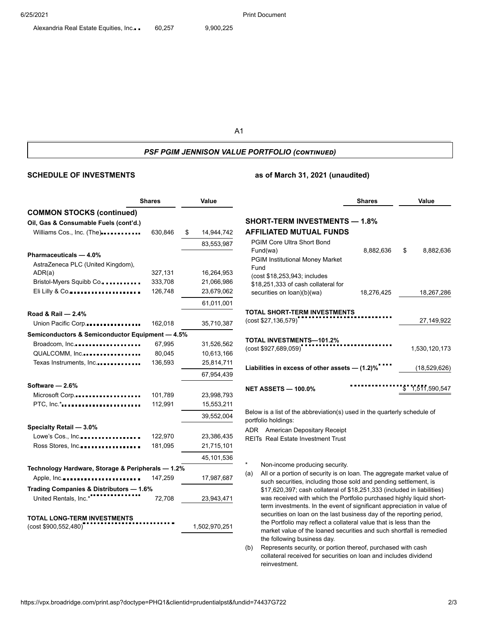A1

### *PSF PGIM JENNISON VALUE PORTFOLIO (continued)*

## **SCHEDULE OF INVESTMENTS as of March 31, 2021 (unaudited)**

|                                                            | <b>Shares</b> |    | Value         |  |
|------------------------------------------------------------|---------------|----|---------------|--|
| <b>COMMON STOCKS (continued)</b>                           |               |    |               |  |
| Oil, Gas & Consumable Fuels (cont'd.)                      |               |    |               |  |
| Williams Cos., Inc. (The)                                  | 630,846       | \$ | 14,944,742    |  |
|                                                            |               |    | 83,553,987    |  |
| Pharmaceuticals - 4.0%                                     |               |    |               |  |
| AstraZeneca PLC (United Kingdom),                          |               |    |               |  |
| ADR(a)                                                     | 327,131       |    | 16,264,953    |  |
| Bristol-Myers Squibb Co                                    | 333,708       |    | 21,066,986    |  |
| Eli Lilly & Co                                             | 126,748       |    | 23,679,062    |  |
|                                                            |               |    | 61,011,001    |  |
| Road & Rail - 2.4%                                         |               |    |               |  |
| Union Pacific Corp                                         | 162,018       |    | 35,710,387    |  |
| Semiconductors & Semiconductor Equipment - 4.5%            |               |    |               |  |
| Broadcom, Inc.                                             | 67,995        |    | 31,526,562    |  |
| QUALCOMM, Inc                                              | 80,045        |    | 10,613,166    |  |
| Texas Instruments, Inc                                     | 136,593       |    | 25,814,711    |  |
|                                                            |               |    | 67,954,439    |  |
| Software - 2.6%                                            |               |    |               |  |
| Microsoft Corp                                             | 101,789       |    | 23,998,793    |  |
| PTC, Inc.*                                                 | 112,991       |    | 15,553,211    |  |
|                                                            |               |    | 39,552,004    |  |
| Specialty Retail - 3.0%                                    |               |    |               |  |
| Lowe's Cos., Inc                                           | 122,970       |    | 23,386,435    |  |
| Ross Stores, Inc                                           | 181,095       |    | 21,715,101    |  |
|                                                            |               |    | 45,101,536    |  |
| Technology Hardware, Storage & Peripherals - 1.2%          |               |    |               |  |
| Apple, Inc                                                 | 147,259       |    | 17,987,687    |  |
| Trading Companies & Distributors - 1.6%                    |               |    |               |  |
| United Rentals, Inc.*                                      | 72,708        |    | 23,943,471    |  |
|                                                            |               |    |               |  |
| <b>TOTAL LONG-TERM INVESTMENTS</b><br>(cost \$900,552,480) |               |    | 1,502,970,251 |  |
|                                                            |               |    |               |  |

|                                                                     | <b>Shares</b> |    | Value           |  |
|---------------------------------------------------------------------|---------------|----|-----------------|--|
| <b>SHORT-TERM INVESTMENTS — 1.8%</b><br>AFFILIATED MUTUAL FUNDS     |               |    |                 |  |
| <b>PGIM Core Ultra Short Bond</b>                                   |               |    |                 |  |
| Fund(wa)                                                            | 8,882,636     | \$ | 8,882,636       |  |
| <b>PGIM Institutional Money Market</b>                              |               |    |                 |  |
| Fund                                                                |               |    |                 |  |
| (cost \$18,253,943; includes<br>\$18,251,333 of cash collateral for |               |    |                 |  |
| securities on loan)(b)(wa)                                          | 18,276,425    |    | 18,267,286      |  |
|                                                                     |               |    |                 |  |
| TOTAL SHORT-TERM INVESTMENTS<br>(cost \$27,136,579)                 |               |    | 27,149,922      |  |
|                                                                     |               |    |                 |  |
| TOTAL INVESTMENTS-101.2%                                            |               |    |                 |  |
| (cost \$927,689,059)                                                |               |    | 1,530,120,173   |  |
|                                                                     |               |    |                 |  |
| Liabilities in excess of other assets - (1.2)%                      |               |    | (18,529,626)    |  |
| NET ASSETS — 100.0%                                                 |               |    | \$1.511.590.547 |  |
|                                                                     |               |    |                 |  |

Below is a list of the abbreviation(s) used in the quarterly schedule of portfolio holdings:

ADR American Depositary Receipt REITs Real Estate Investment Trust

Non-income producing security.

- (a) All or a portion of security is on loan. The aggregate market value of such securities, including those sold and pending settlement, is \$17,620,397; cash collateral of \$18,251,333 (included in liabilities) was received with which the Portfolio purchased highly liquid shortterm investments. In the event of significant appreciation in value of securities on loan on the last business day of the reporting period, the Portfolio may reflect a collateral value that is less than the market value of the loaned securities and such shortfall is remedied the following business day.
- (b) Represents security, or portion thereof, purchased with cash collateral received for securities on loan and includes dividend reinvestment.